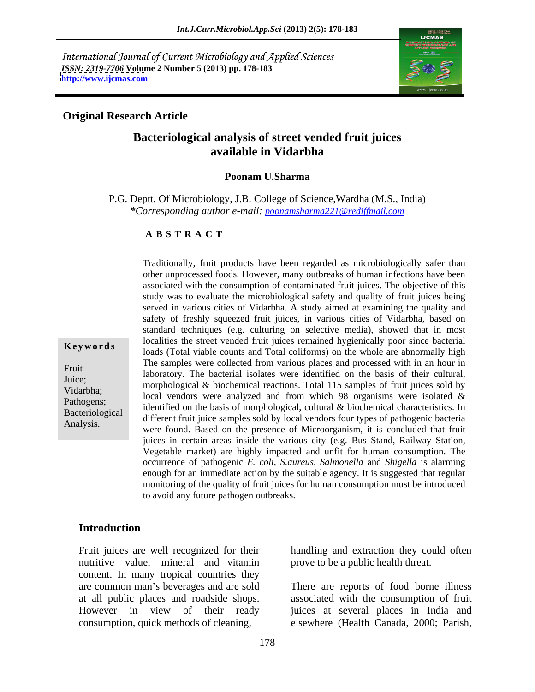International Journal of Current Microbiology and Applied Sciences *ISSN: 2319-7706* **Volume 2 Number 5 (2013) pp. 178-183 <http://www.ijcmas.com>**



#### **Original Research Article**

# **Bacteriological analysis of street vended fruit juices available in Vidarbha**

#### **Poonam U.Sharma**

P.G. Deptt. Of Microbiology, J.B. College of Science,Wardha (M.S., India) *\*Corresponding author e-mail: poonamsharma221@rediffmail.com*

#### **A B S T R A C T**

**Keywords**loads (Total viable counts and Total coliforms) on the whole are abnormally high Fruit<br>
laboratory. The bacterial isolates were identified on the basis of their cultural, Juice; morphological & biochemical reactions. Total 115 samples of fruit juices sold by Vidarbha;<br>local vendors were analyzed and from which 98 organisms were isolated & Pathogens;<br>
identified on the basis of morphological, cultural & biochemical characteristics. In Bacteriological different fruit juice samples sold by local vendors four types of pathogenic bacteria Analysis.<br>were found. Based on the presence of Microorganism, it is concluded that fruit Traditionally, fruit products have been regarded as microbiologically safer than other unprocessed foods. However, many outbreaks of human infections have been associated with the consumption of contaminated fruit juices. The objective of this study was to evaluate the microbiological safety and quality of fruit juices being served in various cities of Vidarbha. A study aimed at examining the quality and safety of freshly squeezed fruit juices, in various cities of Vidarbha, based on standard techniques (e.g. culturing on selective media), showed that in most localities the street vended fruit juices remained hygienically poor since bacterial The samples were collected from various places and processed with in an hour in juices in certain areas inside the various city (e.g. Bus Stand, Railway Station, Vegetable market) are highly impacted and unfit for human consumption. The occurrence of pathogenic *E. coli*, *S.aureus*, *Salmonella* and *Shigella* is alarming enough for an immediate action by the suitable agency. It is suggested that regular monitoring of the quality of fruit juices for human consumption must be introduced to avoid any future pathogen outbreaks.

# **Introduction**

Fruit juices are well recognized for their nutritive value, mineral and vitamin content. In many tropical countries they consumption, quick methods of cleaning,

handling and extraction they could often prove to be a public health threat.

are common man's beverages and are sold There are reports of food borne illness at all public places and roadside shops. associated with the consumption of fruit However in view of their ready juices at several places in India and elsewhere (Health Canada, 2000; Parish,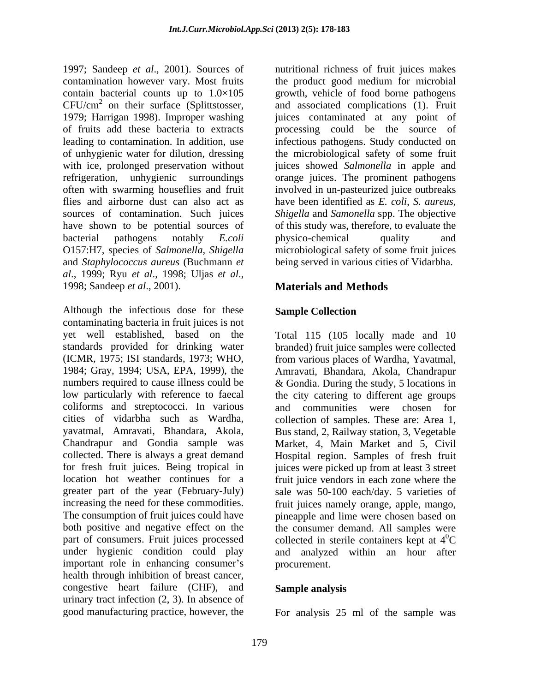1997; Sandeep *et al*., 2001). Sources of nutritional richness of fruit juices makes contamination however vary. Most fruits the product good medium for microbial contain bacterial counts up to  $1.0 \times 105$  growth, vehicle of food borne pathogens  $CFU/cm<sup>2</sup>$  on their surface (Splittstosser, 1979; Harrigan 1998). Improper washing juices contaminated at any point of of fruits add these bacteria to extracts processing could be the source of leading to contamination. In addition, use infectious pathogens. Study conducted on of unhygienic water for dilution, dressing the microbiological safety of some fruit with ice, prolonged preservation without<br>refrigeration, unhygienic surroundings refrigeration, unhygienic surroundings orange juices. The prominent pathogens often with swarming houseflies and fruit involved in un-pasteurized juice outbreaks flies and airborne dust can also act as have been identified as *E. coli*, *S. aureus,* sources of contamination. Such juices *Shigella* and *Samonella* spp. The objective have shown to be potential sources of of this study was, therefore, to evaluate the bacterial pathogens notably *E.coli*  O157:H7, species of *Salmonella*, *Shigella*  microbiological safety of some fruit juices and *Staphylococcus aureus* (Buchmann *et al*., 1999; Ryu *et al*., 1998; Uljas *et al*., 1998; Sandeep *et al*., 2001).

Although the infectious dose for these **Sample Collection** contaminating bacteria in fruit juices is not yet well established, based on the Total 115 (105 locally made and 10 standards provided for drinking water branded) fruit juice samples were collected (ICMR, 1975; ISI standards, 1973; WHO, from various places of Wardha, Yavatmal, 1984; Gray, 1994; USA, EPA, 1999), the Amravati, Bhandara, Akola, Chandrapur numbers required to cause illness could be & Gondia. During the study, 5 locations in low particularly with reference to faecal the city catering to different age groups coliforms and streptococci. In various and communities were chosen for cities of vidarbha such as Wardha, collection of samples. These are: Area 1, yavatmal, Amravati, Bhandara, Akola, Bus stand, 2, Railway station, 3, Vegetable Chandrapur and Gondia sample was Market, 4, Main Market and 5, Civil collected. There is always a great demand for fresh fruit juices. Being tropical in juices were picked up from at least 3 street location hot weather continues for a fruit juice vendors in each zone where the greater part of the year (February-July) sale was 50-100 each/day. 5 varieties of increasing the need for these commodities. fruit juices namely orange, apple, mango, The consumption of fruit juices could have pineapple and lime were chosen based on both positive and negative effect on the the consumer demand. All samples were part of consumers. Fruit juices processed collected in sterile containers kept at  $4^0C$ under hygienic condition could play and analyzed within an hour after important role in enhancing consumer's health through inhibition of breast cancer, congestive heart failure (CHF), and urinary tract infection (2, 3). In absence of

on their surface (Splittstosser, and associated complications (1). Fruit juices showed *Salmonella* in apple and physico-chemical quality and being served in various cities of Vidarbha.

# **Materials and Methods**

### **Sample Collection**

and communities were chosen for Hospital region. Samples of fresh fruit  ${}^{0}C$ procurement.

#### **Sample analysis**

good manufacturing practice, however, the For analysis 25 ml of the sample was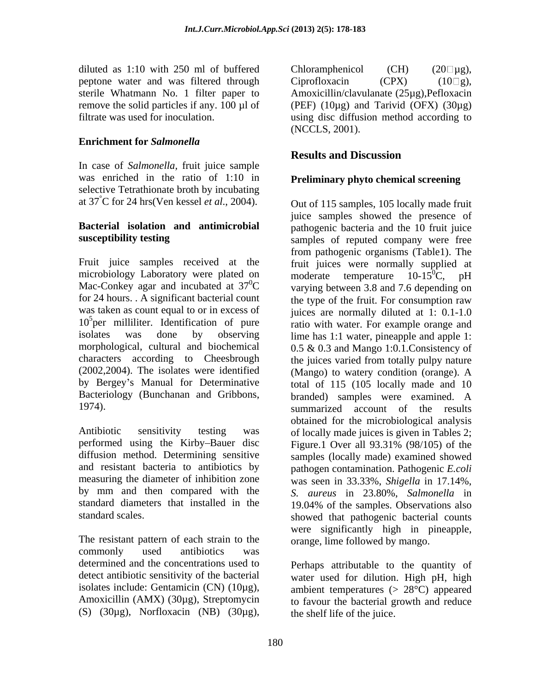diluted as 1:10 with 250 ml of buffered Chloramphenicol (CH)  $(20 \Box \mu g)$ , peptone water and was filtered through Ciprofloxacin  $(CPX)$  (10 $\Box$ g),

### **Enrichment for** *Salmonella*

In case of *Salmonella,* fruit juice sample was enriched in the ratio of 1:10 in selective Tetrathionate broth by incubating at 37°C for 24 hrs(Ven kessel *et al*., 2004).

microbiology Laboratory were plated on  $\qquad$  moderate temperature 10-15<sup>0</sup>C, pH Mac-Conkey agar and incubated at  $37^0C$  $10<sup>5</sup>$  per milliliter. Identification of pure

performed using the Kirby-Bauer disc Figure.1 Over all 93.31% (98/105) of the

The resistant pattern of each strain to the commonly used antibiotics was determined and the concentrations used to (S)  $(30\mu$ g), Norfloxacin (NB)  $(30\mu$ g),

sterile Whatmann No. 1 filter paper to Amoxicillin/clavulanate (25µg),Pefloxacin remove the solid particles if any.  $100 \mu l$  of (PEF)  $(10\mu g)$  and Tarivid  $(OFX)$   $(30\mu g)$ filtrate was used for inoculation. using disc diffusion method according to Chloramphenicol (CH)  $(20 \Box \mu g)$ , Ciprofloxacin  $(CPX)$  (10 $\Box$ g), (NCCLS, 2001).

# **Results and Discussion**

## **Preliminary phyto chemical screening**

**Bacterial isolation and antimicrobial** pathogenic bacteria and the 10 fruit juice **susceptibility testing** samples of reputed company were free Fruit juice samples received at the fruit juices were normally supplied at <sup>0</sup>C varying between 3.8 and 7.6 depending on for 24 hours. . A significant bacterial count the type of the fruit. For consumption raw was taken as count equal to or in excess of juices are normally diluted at 1: 0.1-1.0 per milliliter. Identification of pure ratio with water. For example orange and isolates was done by observing lime has 1:1 water, pineapple and apple 1: morphological, cultural and biochemical 0.5 & 0.3 and Mango 1:0.1.Consistency of characters according to Cheesbrough the juices varied from totally pulpy nature (2002,2004). The isolates were identified (Mango) to watery condition (orange). A by Bergey's Manual for Determinative total of 115 (105 locally made and 10 Bacteriology (Bunchanan and Gribbons, branded) samples were examined. A 1974). Summarized account of the results Antibiotic sensitivity testing was of locally made juices is given in Tables 2; diffusion method. Determining sensitive samples (locally made) examined showed and resistant bacteria to antibiotics by pathogen contamination. Pathogenic *E.coli* measuring the diameter of inhibition zone was seen in 33.33%, *Shigella* in 17.14%, by mm and then compared with the *S. aureus* in 23.80%, *Salmonella* in standard diameters that installed in the 19.04% of the samples. Observations also standard scales. showed that pathogenic bacterial counts Out of 115 samples, 105 locally made fruit juice samples showed the presence of from pathogenic organisms (Table1). The moderate temperature  $10-15^{\circ}C$ , pH obtained for the microbiological analysis Figure.1 Over all 93.31% (98/105) of the were significantly high in pineapple, orange, lime followed by mango.

detect antibiotic sensitivity of the bacterial water used for dilution. High pH, high isolates include: Gentamicin (CN) (10µg), ambient temperatures  $(> 28^{\circ}C)$  appeared Amoxicillin (AMX) (30µg), Streptomycin to favour the bacterial growth and reduce Perhaps attributable to the quantity of the shelf life of the juice.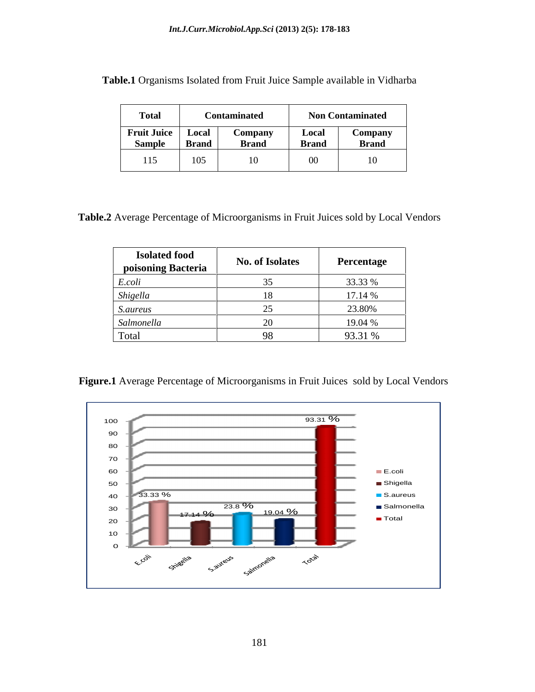| <b>Total</b>       |              | Contaminated |              | <b>Non Contaminated</b> |
|--------------------|--------------|--------------|--------------|-------------------------|
| <b>Fruit Juice</b> | Local        | Company      | Local        | <b>Company</b><br>___   |
| Sample             | <b>Brand</b> | <b>Brand</b> | <b>Brand</b> | <b>Brand</b>            |
| 115                | 105          | •∪           |              | - -                     |

**Table.1** Organisms Isolated from Fruit Juice Sample available in Vidharba

**Table.2** Average Percentage of Microorganisms in Fruit Juices sold by Local Vendors

| <b>Isolated food<br/>poisoning Bacteria</b> | <b>No. of Isolates</b> | Percentage |
|---------------------------------------------|------------------------|------------|
| .colt                                       |                        | 33.33 %    |
| nigelli                                     |                        | 17.14 %    |
| <i>S.aureus</i>                             |                        | 23.80%     |
| Salmonella                                  |                        | 19.04 %    |
| Total                                       |                        | 93.31 %    |

**Figure.1** Average Percentage of Microorganisms in Fruit Juices sold by Local Vendors

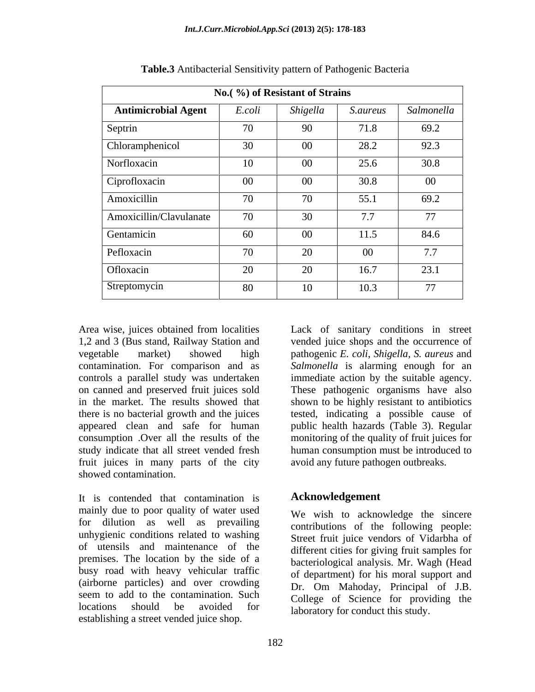| No. (%) of Resistant of Strains |        |          |                 |            |  |
|---------------------------------|--------|----------|-----------------|------------|--|
| <b>Antimicrobial Agent</b>      | E.coli | Shigella | <i>S.aureus</i> | Salmonella |  |
| Septrin                         | 70     | 90       | 71.8            | 69.2       |  |
| Chloramphenicol                 | 30     | $00\,$   | 28.2            | 92.3       |  |
| Norfloxacin                     | 10     | $00\,$   | 25.6            | 30.8       |  |
| Ciprofloxacin                   | $00\,$ | $00\,$   | 30.8            | $00\,$     |  |
| Amoxicillin                     | 70     | 70       | 55.1            | 69.2       |  |
| Amoxicillin/Clavulanate         | 70     | 30       | 7.7             | 77         |  |
| Gentamicin                      | 60     | $00\,$   | 11.5            | 84.6       |  |
| Pefloxacin                      | 70     | 20       | $00\,$          | 7.7        |  |
| Ofloxacin                       | 20     | 20       | 16.7            | 23.1       |  |
| Streptomycin                    | 80     | 10       | 10.3            | 77         |  |

**Table.3** Antibacterial Sensitivity pattern of Pathogenic Bacteria

Area wise, juices obtained from localities appeared clean and safe for human fruit juices in many parts of the city showed contamination.

It is contended that contamination is mainly due to poor quality of water used for dilution as well as prevailing unhygienic conditions related to washing of utensils and maintenance of the premises. The location by the side of a busy road with heavy vehicular traffic (airborne particles) and over crowding seem to add to the contamination. Such locations should be avoided for laboratory for conduct this study. establishing a street vended juice shop.

1,2 and 3 (Bus stand, Railway Station and vended juice shops and the occurrence of vegetable market) showed high pathogenic *E. coli*, *Shigella, S. aureus* and contamination. For comparison and as *Salmonella* is alarming enough for an controls a parallel study was undertaken immediate action by the suitable agency. on canned and preserved fruit juices sold These pathogenic organisms have also in the market. The results showed that shown to be highly resistant to antibiotics there is no bacterial growth and the juices tested, indicating a possible cause of consumption .Over all the results of the monitoring of the quality of fruit juices for study indicate that all street vended fresh human consumption must be introduced to Lack of sanitary conditions in street public health hazards (Table 3). Regular avoid any future pathogen outbreaks.

#### **Acknowledgement**

We wish to acknowledge the sincere contributions of the following people: Street fruit juice vendors of Vidarbha of different cities for giving fruit samples for bacteriological analysis. Mr. Wagh (Head of department) for his moral support and Dr. Om Mahoday, Principal of J.B. College of Science for providing the